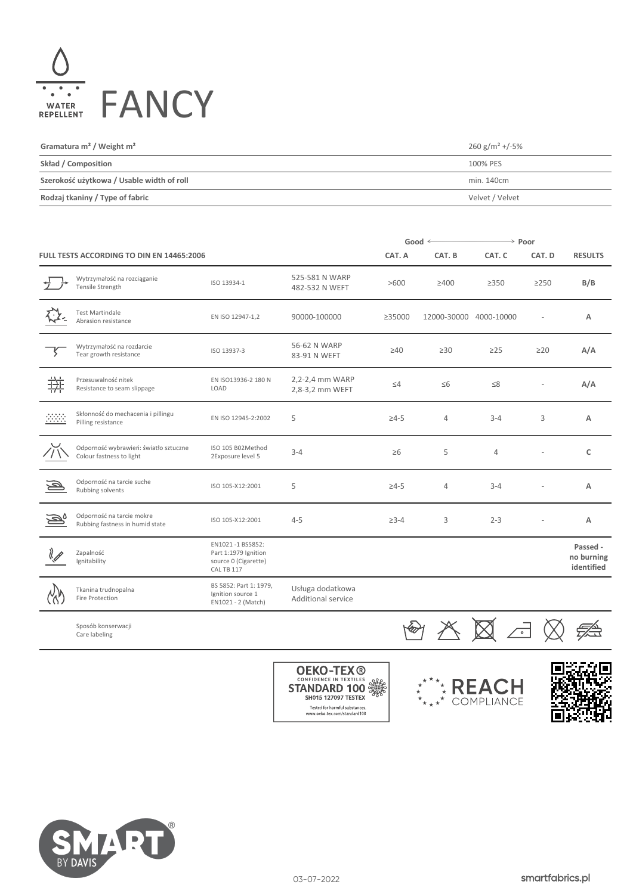

| Gramatura $m^2$ / Weight $m^2$            | $260 g/m^2 + (-5%)$ |
|-------------------------------------------|---------------------|
| Skład / Composition                       | 100% PES            |
| Szerokość użytkowa / Usable width of roll | min. 140cm          |
| Rodzaj tkaniny / Type of fabric           | Velvet / Velvet     |

|                         |                                                                   |                                                                                |                                        | Good $\leq$  |                        | $\rightarrow$ Poor |            |                                      |
|-------------------------|-------------------------------------------------------------------|--------------------------------------------------------------------------------|----------------------------------------|--------------|------------------------|--------------------|------------|--------------------------------------|
|                         | FULL TESTS ACCORDING TO DIN EN 14465:2006                         |                                                                                |                                        | CAT. A       | CAT. B                 | CAT. C             | CAT. D     | <b>RESULTS</b>                       |
| $\overrightarrow{f}$    | Wytrzymałość na rozciąganie<br>Tensile Strength                   | ISO 13934-1                                                                    | 525-581 N WARP<br>482-532 N WEFT       | >600         | $\geq 400$             | $\geq$ 350         | $\geq$ 250 | B/B                                  |
|                         | <b>Test Martindale</b><br>Abrasion resistance                     | EN ISO 12947-1,2                                                               | 90000-100000                           | ≥35000       | 12000-30000 4000-10000 |                    | L,         | Α                                    |
|                         | Wytrzymałość na rozdarcie<br>Tear growth resistance               | ISO 13937-3                                                                    | 56-62 N WARP<br>83-91 N WEFT           | $\geq 40$    | $\geq 30$              | $\geq$ 25          | $\geq$ 20  | A/A                                  |
| 拼                       | Przesuwalność nitek<br>Resistance to seam slippage                | EN ISO13936-2 180 N<br>LOAD                                                    | 2,2-2,4 mm WARP<br>2,8-3,2 mm WEFT     | $\leq 4$     | $\leq 6$               | $\leq 8$           |            | A/A                                  |
| 3333                    | Skłonność do mechacenia i pillingu<br>Pilling resistance          | EN ISO 12945-2:2002                                                            | 5                                      | $\geq 4 - 5$ | 4                      | $3 - 4$            | 3          | A                                    |
|                         | Odporność wybrawień: światło sztuczne<br>Colour fastness to light | ISO 105 B02Method<br>2Exposure level 5                                         | $3 - 4$                                | $\geq 6$     | 5                      | 4                  |            | c                                    |
| $\overline{\mathbb{P}}$ | Odporność na tarcie suche<br>Rubbing solvents                     | ISO 105-X12:2001                                                               | 5                                      | $\geq 4 - 5$ | $\overline{4}$         | $3 - 4$            |            | Α                                    |
| D,                      | Odporność na tarcie mokre<br>Rubbing fastness in humid state      | ISO 105-X12:2001                                                               | $4 - 5$                                | $\geq 3 - 4$ | 3                      | $2 - 3$            |            | А                                    |
|                         | Zapalność<br>Ignitability                                         | EN1021-1 BS5852:<br>Part 1:1979 Ignition<br>source 0 (Cigarette)<br>CAL TB 117 |                                        |              |                        |                    |            | Passed -<br>no burning<br>identified |
| $\alpha$                | Tkanina trudnopalna<br>Fire Protection                            | BS 5852: Part 1: 1979,<br>Ignition source 1<br>EN1021 - 2 (Match)              | Usługa dodatkowa<br>Additional service |              |                        |                    |            |                                      |
|                         |                                                                   |                                                                                |                                        |              |                        | $\sim$ $\sim$      |            |                                      |

Sposób konserwacji Care labeling







**OEKO-TEX ®**<br>CONFIDENCE IN TEXTILES AND<br>STANDARD 100 SH015 127097 TESTEX Tested for harmful substances.<br>www.oeko-tex.com/standard100